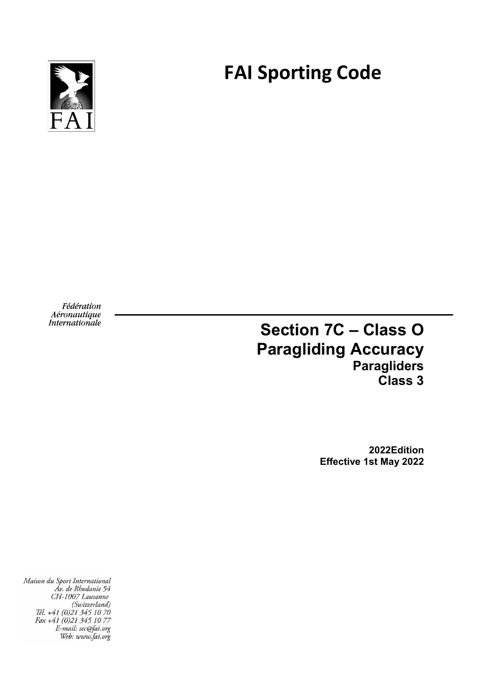**FAI Sporting Code**



Fédération Aéronautique Internationale

# **Section 7C – Class O Paragliding Accuracy Paragliders Class 3**

**2022Edition Effective 1st May 2022**

Maison du Sport International Áv. de Rhodanie 54 CH-1007 Lausanne (Switzerland)<br>(Switzerland)<br>Tél. +41 (0)21 345 10 70 Fax +41 (0)21 345 10 77<br>E-mail: sec@fai.org Web: www.fai.org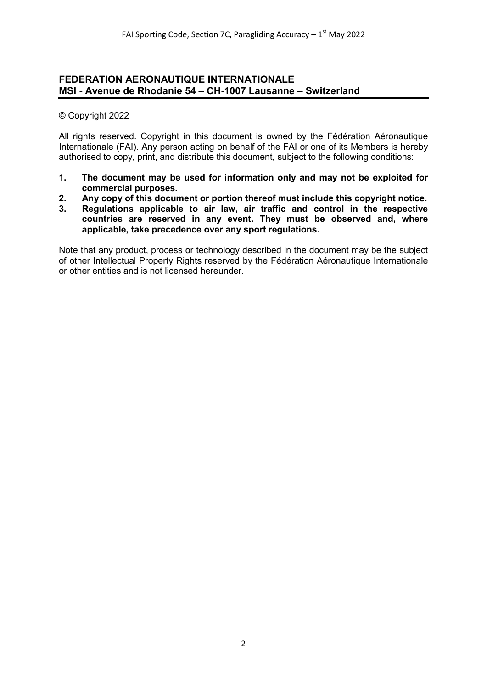#### **FEDERATION AERONAUTIQUE INTERNATIONALE MSI - Avenue de Rhodanie 54 – CH-1007 Lausanne – Switzerland**

#### © Copyright 2022

All rights reserved. Copyright in this document is owned by the Fédération Aéronautique Internationale (FAI). Any person acting on behalf of the FAI or one of its Members is hereby authorised to copy, print, and distribute this document, subject to the following conditions:

- **1. The document may be used for information only and may not be exploited for commercial purposes.**
- **2. Any copy of this document or portion thereof must include this copyright notice.**
- **3. Regulations applicable to air law, air traffic and control in the respective countries are reserved in any event. They must be observed and, where applicable, take precedence over any sport regulations.**

Note that any product, process or technology described in the document may be the subject of other Intellectual Property Rights reserved by the Fédération Aéronautique Internationale or other entities and is not licensed hereunder.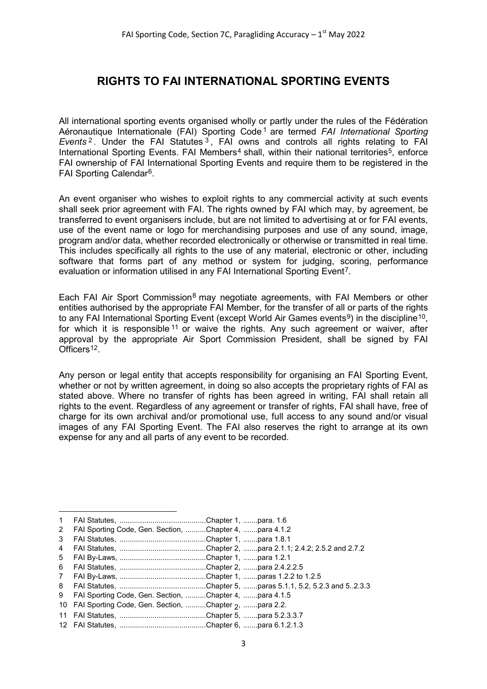## **RIGHTS TO FAI INTERNATIONAL SPORTING EVENTS**

All international sporting events organised wholly or partly under the rules of the Fédération Aéronautique Internationale (FAI) Sporting Code [1](#page-2-0) are termed *FAI International Sporting Events* [2](#page-2-1) . Under the FAI Statutes [3](#page-2-2) , FAI owns and controls all rights relating to FAI International Sporting Events. FAI Members<sup>[4](#page-2-3)</sup> shall, within their national territories<sup>[5](#page-2-4)</sup>, enforce FAI ownership of FAI International Sporting Events and require them to be registered in the FAI Sporting Calendar[6.](#page-2-5)

An event organiser who wishes to exploit rights to any commercial activity at such events shall seek prior agreement with FAI. The rights owned by FAI which may, by agreement, be transferred to event organisers include, but are not limited to advertising at or for FAI events, use of the event name or logo for merchandising purposes and use of any sound, image, program and/or data, whether recorded electronically or otherwise or transmitted in real time. This includes specifically all rights to the use of any material, electronic or other, including software that forms part of any method or system for judging, scoring, performance evaluation or information utilised in any FAI International Sporting Event<sup>[7](#page-2-6)</sup>.

Each FAI Air Sport Commission<sup>[8](#page-2-7)</sup> may negotiate agreements, with FAI Members or other entities authorised by the appropriate FAI Member, for the transfer of all or parts of the rights to any FAI International Sporting Event (except World Air Games events<sup>9</sup>) in the discipline<sup>[10](#page-2-9)</sup>, for which it is responsible  $11$  or waive the rights. Any such agreement or waiver, after approval by the appropriate Air Sport Commission President, shall be signed by FAI Officers<sup>12</sup>.

Any person or legal entity that accepts responsibility for organising an FAI Sporting Event, whether or not by written agreement, in doing so also accepts the proprietary rights of FAI as stated above. Where no transfer of rights has been agreed in writing, FAI shall retain all rights to the event. Regardless of any agreement or transfer of rights, FAI shall have, free of charge for its own archival and/or promotional use, full access to any sound and/or visual images of any FAI Sporting Event. The FAI also reserves the right to arrange at its own expense for any and all parts of any event to be recorded.

 $\overline{\phantom{a}}$ 

<span id="page-2-0"></span><sup>1</sup> FAI Statutes, ..........................................Chapter 1, .......para. 1.6

<span id="page-2-1"></span><sup>2</sup> FAI Sporting Code, Gen. Section, ..........Chapter 4, .......para 4.1.2

<span id="page-2-2"></span><sup>3</sup> FAI Statutes, ..........................................Chapter 1, .......para 1.8.1

<span id="page-2-3"></span><sup>4</sup> FAI Statutes, ..........................................Chapter 2, .......para 2.1.1; 2.4.2; 2.5.2 and 2.7.2

<span id="page-2-4"></span><sup>5</sup> FAI By-Laws, ..........................................Chapter 1, .......para 1.2.1 6 FAI Statutes, ..........................................Chapter 2, .......para 2.4.2.2.5

<span id="page-2-6"></span><span id="page-2-5"></span><sup>7</sup> FAI By-Laws, ..........................................Chapter 1, .......paras 1.2.2 to 1.2.5

<sup>8</sup> FAI Statutes, ..........................................Chapter 5, .......paras 5.1.1, 5.2, 5.2.3 and 5..2.3.3

<span id="page-2-8"></span><span id="page-2-7"></span><sup>9</sup> FAI Sporting Code, Gen. Section, ..........Chapter 4, .......para 4.1.5

<sup>10</sup> FAI Sporting Code, Gen. Section, .........Chapter 2, .......para 2.2.

<span id="page-2-9"></span><sup>11</sup> FAI Statutes, ..........................................Chapter 5, .......para 5.2.3.3.7

<span id="page-2-11"></span><span id="page-2-10"></span><sup>12</sup> FAI Statutes, ..........................................Chapter 6, .......para 6.1.2.1.3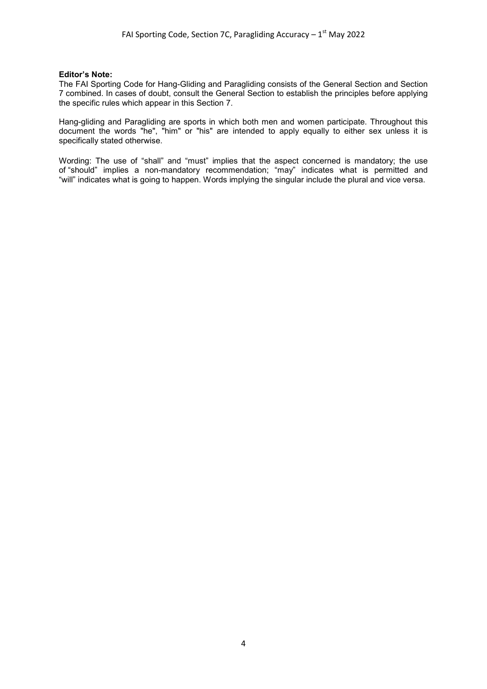#### **Editor's Note:**

The FAI Sporting Code for Hang-Gliding and Paragliding consists of the General Section and Section 7 combined. In cases of doubt, consult the General Section to establish the principles before applying the specific rules which appear in this Section 7.

Hang-gliding and Paragliding are sports in which both men and women participate. Throughout this document the words "he", "him" or "his" are intended to apply equally to either sex unless it is specifically stated otherwise.

Wording: The use of "shall" and "must" implies that the aspect concerned is mandatory; the use of "should" implies a non-mandatory recommendation; "may" indicates what is permitted and "will" indicates what is going to happen. Words implying the singular include the plural and vice versa.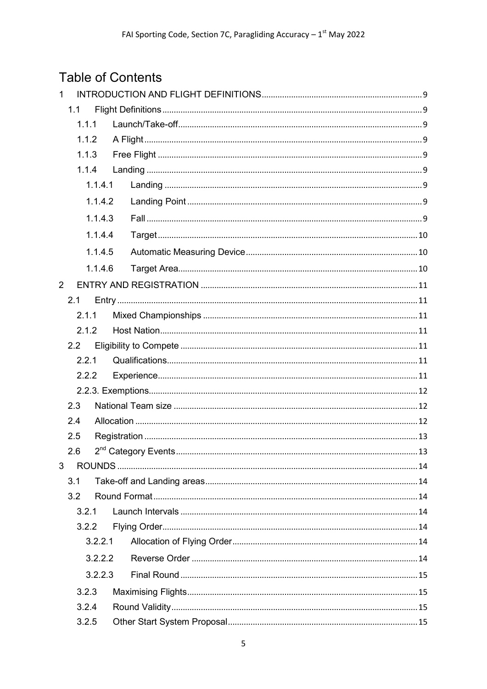# **Table of Contents**

| $\mathbf{1}$   |         |         |  |
|----------------|---------|---------|--|
|                | 1.1     |         |  |
|                | 1.1.1   |         |  |
|                | 1.1.2   |         |  |
|                | 1.1.3   |         |  |
|                | 1.1.4   |         |  |
|                |         | 1.1.4.1 |  |
|                |         | 1.1.4.2 |  |
|                |         | 1.1.4.3 |  |
|                |         | 1.1.4.4 |  |
|                |         | 1.1.4.5 |  |
|                |         | 1.1.4.6 |  |
| $\overline{2}$ |         |         |  |
|                | 2.1     |         |  |
|                | 2.1.1   |         |  |
|                | 2.1.2   |         |  |
|                | 2.2     |         |  |
|                | 2.2.1   |         |  |
|                |         | 2.2.2   |  |
|                |         |         |  |
|                | 2.3     |         |  |
|                | 2.4     |         |  |
|                | 2.5     |         |  |
|                | 2.6     |         |  |
| 3              |         |         |  |
|                | 3.1     |         |  |
|                | 3.2     |         |  |
|                | 3.2.1   |         |  |
|                | 3.2.2   |         |  |
|                | 3.2.2.1 |         |  |
|                |         | 3.2.2.2 |  |
| 3.2.2.3        |         |         |  |
|                | 3.2.3   |         |  |
|                | 3.2.4   |         |  |
|                | 3.2.5   |         |  |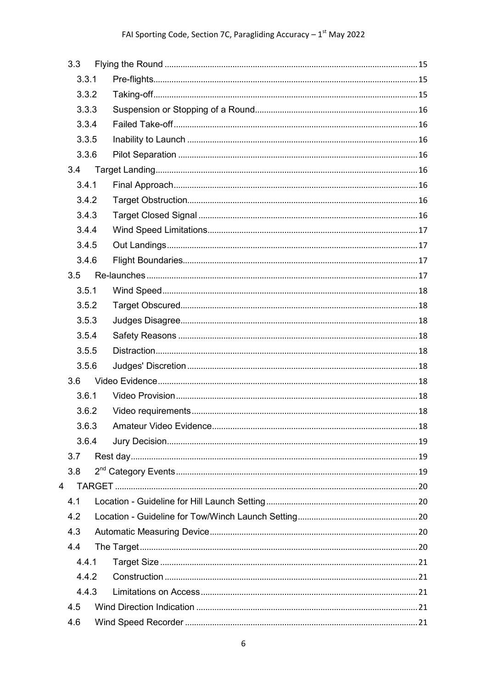|   | 3.3   |  |  |
|---|-------|--|--|
|   | 3.3.1 |  |  |
|   | 3.3.2 |  |  |
|   | 3.3.3 |  |  |
|   | 3.3.4 |  |  |
|   | 3.3.5 |  |  |
|   | 3.3.6 |  |  |
|   | 3.4   |  |  |
|   | 3.4.1 |  |  |
|   | 3.4.2 |  |  |
|   | 3.4.3 |  |  |
|   | 3.4.4 |  |  |
|   | 3.4.5 |  |  |
|   | 3.4.6 |  |  |
|   | 3.5   |  |  |
|   | 3.5.1 |  |  |
|   | 3.5.2 |  |  |
|   | 3.5.3 |  |  |
|   | 3.5.4 |  |  |
|   | 3.5.5 |  |  |
|   | 3.5.6 |  |  |
|   | 3.6   |  |  |
|   | 3.6.1 |  |  |
|   | 3.6.2 |  |  |
|   | 3.6.3 |  |  |
|   | 3.6.4 |  |  |
|   | 3.7   |  |  |
|   | 3.8   |  |  |
| 4 |       |  |  |
|   | 4.1   |  |  |
|   | 4.2   |  |  |
|   | 4.3   |  |  |
|   | 4.4   |  |  |
|   | 4.4.1 |  |  |
|   | 4.4.2 |  |  |
|   | 4.4.3 |  |  |
|   | 4.5   |  |  |
|   | 4.6   |  |  |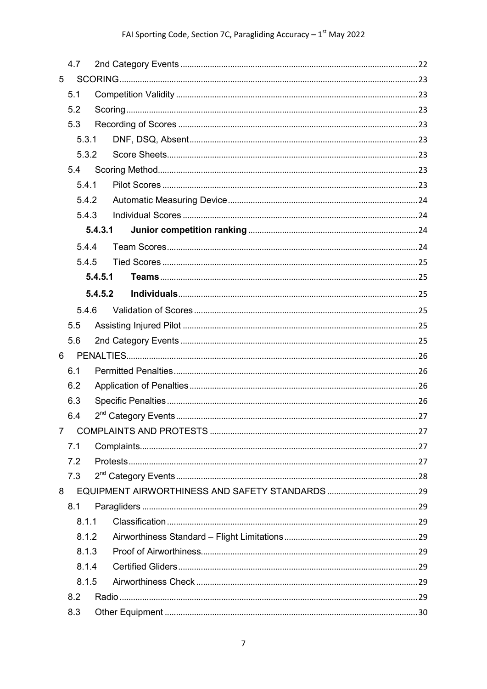|                | 4.7   |         |  |
|----------------|-------|---------|--|
| 5              |       |         |  |
|                | 5.1   |         |  |
|                | 5.2   |         |  |
|                | 5.3   |         |  |
|                | 5.3.1 |         |  |
|                | 5.3.2 |         |  |
|                | 5.4   |         |  |
|                | 5.4.1 |         |  |
|                | 5.4.2 |         |  |
|                | 5.4.3 |         |  |
|                |       | 5.4.3.1 |  |
|                | 5.4.4 |         |  |
|                | 5.4.5 |         |  |
|                |       | 5.4.5.1 |  |
|                |       | 5.4.5.2 |  |
|                | 5.4.6 |         |  |
|                | 5.5   |         |  |
|                | 5.6   |         |  |
| 6              |       |         |  |
|                | 6.1   |         |  |
|                | 6.2   |         |  |
|                | 6.3   |         |  |
|                | 6.4   |         |  |
| $\overline{7}$ |       |         |  |
|                | 7.1   |         |  |
|                | 7.2   |         |  |
|                | 7.3   |         |  |
| 8              |       |         |  |
|                | 8.1   |         |  |
|                | 8.1.1 |         |  |
|                | 8.1.2 |         |  |
| 8.1.3<br>8.1.4 |       |         |  |
|                |       |         |  |
|                | 8.1.5 |         |  |
|                | 8.2   |         |  |
|                | 8.3   |         |  |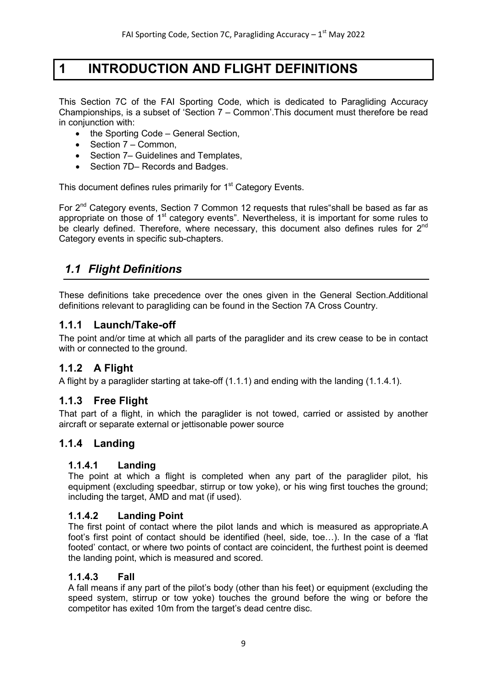## <span id="page-8-0"></span>**1 INTRODUCTION AND FLIGHT DEFINITIONS**

This Section 7C of the FAI Sporting Code, which is dedicated to Paragliding Accuracy Championships, is a subset of 'Section 7 – Common'.This document must therefore be read in conjunction with:

- the Sporting Code General Section,
- Section 7 Common.
- Section 7– Guidelines and Templates,
- Section 7D– Records and Badges.

This document defines rules primarily for 1<sup>st</sup> Category Events.

For  $2^{nd}$  Category events, Section 7 Common 12 requests that rules "shall be based as far as appropriate on those of  $1<sup>st</sup>$  category events". Nevertheless, it is important for some rules to be clearly defined. Therefore, where necessary, this document also defines rules for 2<sup>nd</sup> Category events in specific sub-chapters.

## <span id="page-8-1"></span>*1.1 Flight Definitions*

These definitions take precedence over the ones given in the General Section.Additional definitions relevant to paragliding can be found in the Section 7A Cross Country.

### <span id="page-8-2"></span>**1.1.1 Launch/Take-off**

The point and/or time at which all parts of the paraglider and its crew cease to be in contact with or connected to the ground.

## <span id="page-8-3"></span>**1.1.2 A Flight**

A flight by a paraglider starting at take-off (1.1.1) and ending with the landing (1.1.4.1).

#### <span id="page-8-4"></span>**1.1.3 Free Flight**

That part of a flight, in which the paraglider is not towed, carried or assisted by another aircraft or separate external or jettisonable power source

## <span id="page-8-6"></span><span id="page-8-5"></span>**1.1.4 Landing**

#### **1.1.4.1 Landing**

The point at which a flight is completed when any part of the paraglider pilot, his equipment (excluding speedbar, stirrup or tow yoke), or his wing first touches the ground; including the target, AMD and mat (if used).

#### <span id="page-8-7"></span>**1.1.4.2 Landing Point**

The first point of contact where the pilot lands and which is measured as appropriate.A foot's first point of contact should be identified (heel, side, toe…). In the case of a 'flat footed' contact, or where two points of contact are coincident, the furthest point is deemed the landing point, which is measured and scored.

#### <span id="page-8-8"></span>**1.1.4.3 Fall**

A fall means if any part of the pilot's body (other than his feet) or equipment (excluding the speed system, stirrup or tow yoke) touches the ground before the wing or before the competitor has exited 10m from the target's dead centre disc.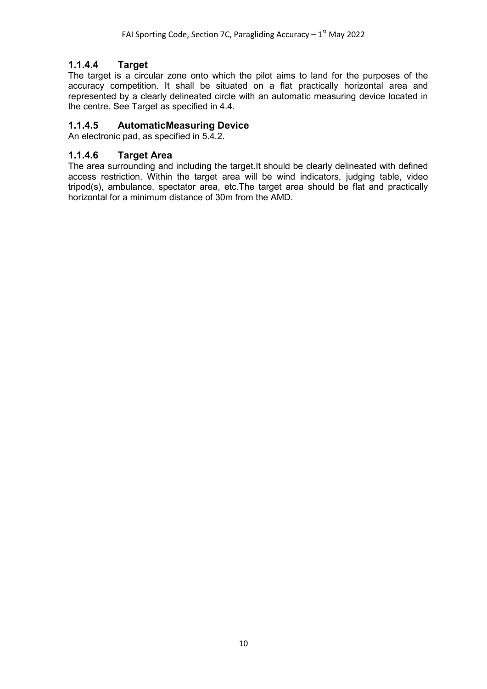## **1.1.4.4 Target**

<span id="page-9-0"></span>The target is a circular zone onto which the pilot aims to land for the purposes of the accuracy competition. It shall be situated on a flat practically horizontal area and represented by a clearly delineated circle with an automatic measuring device located in the centre. See Target as specified in 4.4.

#### <span id="page-9-1"></span>**1.1.4.5 AutomaticMeasuring Device**

An electronic pad, as specified in 5.4.2.

#### <span id="page-9-2"></span>**1.1.4.6 Target Area**

The area surrounding and including the target.It should be clearly delineated with defined access restriction. Within the target area will be wind indicators, judging table, video tripod(s), ambulance, spectator area, etc.The target area should be flat and practically horizontal for a minimum distance of 30m from the AMD.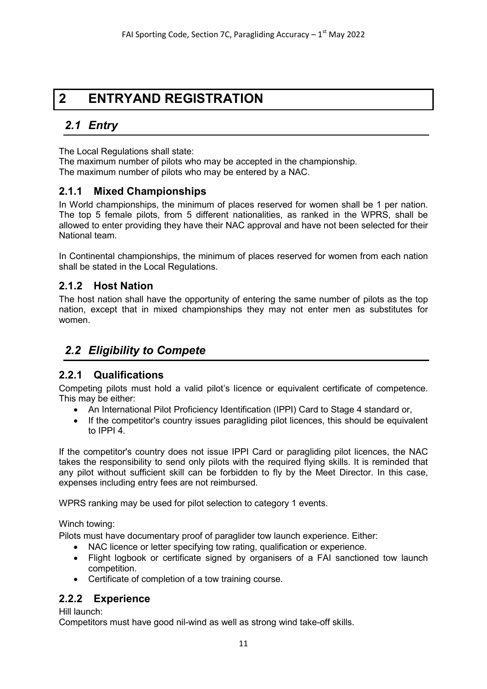## <span id="page-10-0"></span>**2 ENTRYAND REGISTRATION**

## <span id="page-10-1"></span>*2.1 Entry*

The Local Regulations shall state:

The maximum number of pilots who may be accepted in the championship. The maximum number of pilots who may be entered by a NAC.

### <span id="page-10-2"></span>**2.1.1 Mixed Championships**

In World championships, the minimum of places reserved for women shall be 1 per nation. The top 5 female pilots, from 5 different nationalities, as ranked in the WPRS, shall be allowed to enter providing they have their NAC approval and have not been selected for their National team.

In Continental championships, the minimum of places reserved for women from each nation shall be stated in the Local Regulations.

## <span id="page-10-3"></span>**2.1.2 Host Nation**

The host nation shall have the opportunity of entering the same number of pilots as the top nation, except that in mixed championships they may not enter men as substitutes for women.

## <span id="page-10-4"></span>*2.2 Eligibility to Compete*

## <span id="page-10-5"></span>**2.2.1 Qualifications**

Competing pilots must hold a valid pilot's licence or equivalent certificate of competence. This may be either:

- An International Pilot Proficiency Identification (IPPI) Card to Stage 4 standard or,
- If the competitor's country issues paragliding pilot licences, this should be equivalent to IPPI 4.

If the competitor's country does not issue IPPI Card or paragliding pilot licences, the NAC takes the responsibility to send only pilots with the required flying skills. It is reminded that any pilot without sufficient skill can be forbidden to fly by the Meet Director. In this case, expenses including entry fees are not reimbursed.

WPRS ranking may be used for pilot selection to category 1 events.

Winch towing:

Pilots must have documentary proof of paraglider tow launch experience. Either:

- NAC licence or letter specifying tow rating, qualification or experience.
- Flight logbook or certificate signed by organisers of a FAI sanctioned tow launch competition.
- Certificate of completion of a tow training course.

## <span id="page-10-6"></span>**2.2.2 Experience**

Hill launch:

Competitors must have good nil-wind as well as strong wind take-off skills.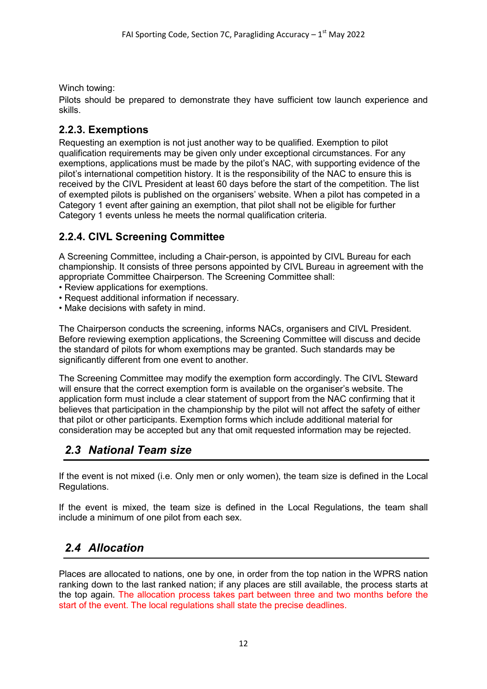Winch towing:

Pilots should be prepared to demonstrate they have sufficient tow launch experience and skills.

## <span id="page-11-0"></span>**2.2.3. Exemptions**

Requesting an exemption is not just another way to be qualified. Exemption to pilot qualification requirements may be given only under exceptional circumstances. For any exemptions, applications must be made by the pilot's NAC, with supporting evidence of the pilot's international competition history. It is the responsibility of the NAC to ensure this is received by the CIVL President at least 60 days before the start of the competition. The list of exempted pilots is published on the organisers' website. When a pilot has competed in a Category 1 event after gaining an exemption, that pilot shall not be eligible for further Category 1 events unless he meets the normal qualification criteria.

## **2.2.4. CIVL Screening Committee**

A Screening Committee, including a Chair-person, is appointed by CIVL Bureau for each championship. It consists of three persons appointed by CIVL Bureau in agreement with the appropriate Committee Chairperson. The Screening Committee shall:

- Review applications for exemptions.
- Request additional information if necessary.
- Make decisions with safety in mind.

The Chairperson conducts the screening, informs NACs, organisers and CIVL President. Before reviewing exemption applications, the Screening Committee will discuss and decide the standard of pilots for whom exemptions may be granted. Such standards may be significantly different from one event to another.

The Screening Committee may modify the exemption form accordingly. The CIVL Steward will ensure that the correct exemption form is available on the organiser's website. The application form must include a clear statement of support from the NAC confirming that it believes that participation in the championship by the pilot will not affect the safety of either that pilot or other participants. Exemption forms which include additional material for consideration may be accepted but any that omit requested information may be rejected.

## <span id="page-11-1"></span>*2.3 National Team size*

If the event is not mixed (i.e. Only men or only women), the team size is defined in the Local Regulations.

If the event is mixed, the team size is defined in the Local Regulations, the team shall include a minimum of one pilot from each sex.

## <span id="page-11-2"></span>*2.4 Allocation*

Places are allocated to nations, one by one, in order from the top nation in the WPRS nation ranking down to the last ranked nation; if any places are still available, the process starts at the top again. The allocation process takes part between three and two months before the start of the event. The local regulations shall state the precise deadlines.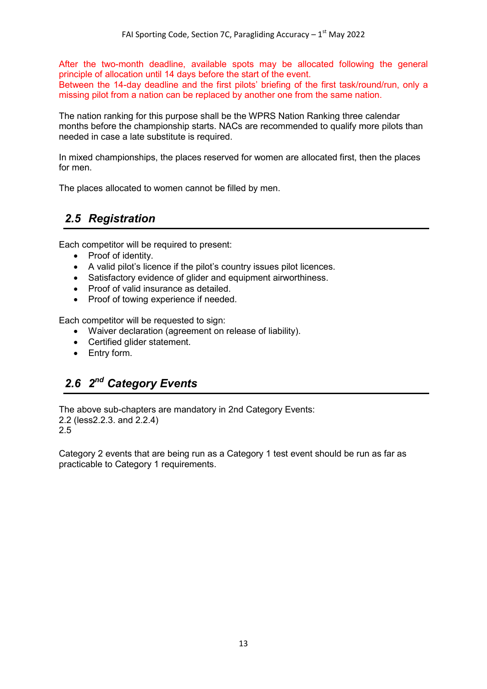After the two-month deadline, available spots may be allocated following the general principle of allocation until 14 days before the start of the event. Between the 14-day deadline and the first pilots' briefing of the first task/round/run, only a missing pilot from a nation can be replaced by another one from the same nation.

The nation ranking for this purpose shall be the WPRS Nation Ranking three calendar months before the championship starts. NACs are recommended to qualify more pilots than needed in case a late substitute is required.

In mixed championships, the places reserved for women are allocated first, then the places for men.

The places allocated to women cannot be filled by men.

## <span id="page-12-0"></span>*2.5 Registration*

Each competitor will be required to present:

- Proof of identity.
- A valid pilot's licence if the pilot's country issues pilot licences.
- Satisfactory evidence of glider and equipment airworthiness.
- Proof of valid insurance as detailed.
- Proof of towing experience if needed.

Each competitor will be requested to sign:

- Waiver declaration (agreement on release of liability).
- Certified glider statement.
- Entry form.

## <span id="page-12-1"></span>*2.6 2nd Category Events*

The above sub-chapters are mandatory in 2nd Category Events: 2.2 (less2.2.3. and 2.2.4) 2.5

Category 2 events that are being run as a Category 1 test event should be run as far as practicable to Category 1 requirements.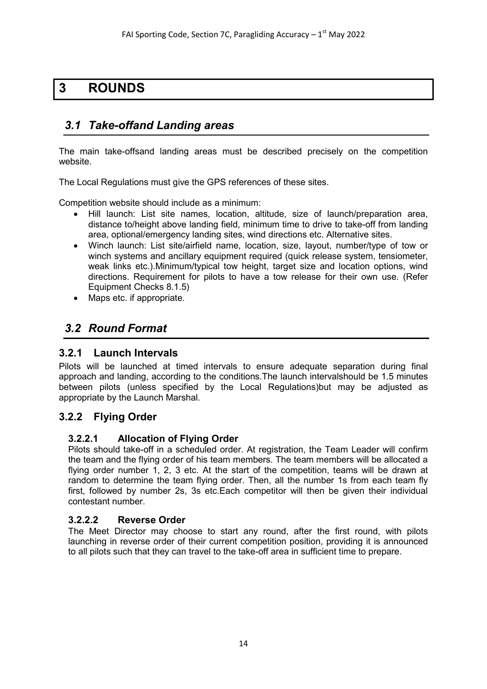## <span id="page-13-0"></span>**3 ROUNDS**

## <span id="page-13-1"></span>*3.1 Take-offand Landing areas*

The main take-offsand landing areas must be described precisely on the competition website.

The Local Regulations must give the GPS references of these sites.

Competition website should include as a minimum:

- Hill launch: List site names, location, altitude, size of launch/preparation area, distance to/height above landing field, minimum time to drive to take-off from landing area, optional/emergency landing sites, wind directions etc. Alternative sites.
- Winch launch: List site/airfield name, location, size, layout, number/type of tow or winch systems and ancillary equipment required (quick release system, tensiometer, weak links etc.).Minimum/typical tow height, target size and location options, wind directions. Requirement for pilots to have a tow release for their own use. (Refer Equipment Checks 8.1.5)
- Maps etc. if appropriate.

## <span id="page-13-2"></span>*3.2 Round Format*

#### <span id="page-13-3"></span>**3.2.1 Launch Intervals**

Pilots will be launched at timed intervals to ensure adequate separation during final approach and landing, according to the conditions.The launch intervalshould be 1.5 minutes between pilots (unless specified by the Local Regulations)but may be adjusted as appropriate by the Launch Marshal.

## <span id="page-13-5"></span><span id="page-13-4"></span>**3.2.2 Flying Order**

#### **3.2.2.1 Allocation of Flying Order**

Pilots should take-off in a scheduled order. At registration, the Team Leader will confirm the team and the flying order of his team members. The team members will be allocated a flying order number 1, 2, 3 etc. At the start of the competition, teams will be drawn at random to determine the team flying order. Then, all the number 1s from each team fly first, followed by number 2s, 3s etc.Each competitor will then be given their individual contestant number.

#### <span id="page-13-6"></span>**3.2.2.2 Reverse Order**

The Meet Director may choose to start any round, after the first round, with pilots launching in reverse order of their current competition position, providing it is announced to all pilots such that they can travel to the take-off area in sufficient time to prepare.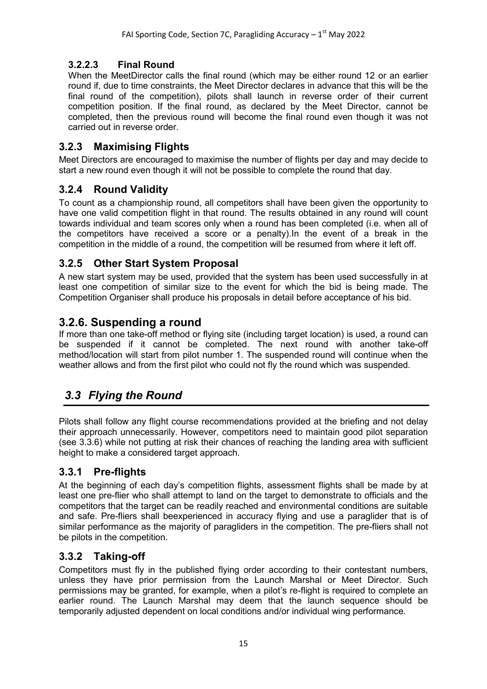## **3.2.2.3 Final Round**

<span id="page-14-0"></span>When the MeetDirector calls the final round (which may be either round 12 or an earlier round if, due to time constraints, the Meet Director declares in advance that this will be the final round of the competition), pilots shall launch in reverse order of their current competition position. If the final round, as declared by the Meet Director, cannot be completed, then the previous round will become the final round even though it was not carried out in reverse order.

## <span id="page-14-1"></span>**3.2.3 Maximising Flights**

Meet Directors are encouraged to maximise the number of flights per day and may decide to start a new round even though it will not be possible to complete the round that day.

## <span id="page-14-2"></span>**3.2.4 Round Validity**

To count as a championship round, all competitors shall have been given the opportunity to have one valid competition flight in that round. The results obtained in any round will count towards individual and team scores only when a round has been completed (i.e. when all of the competitors have received a score or a penalty).In the event of a break in the competition in the middle of a round, the competition will be resumed from where it left off.

## <span id="page-14-3"></span>**3.2.5 Other Start System Proposal**

A new start system may be used, provided that the system has been used successfully in at least one competition of similar size to the event for which the bid is being made. The Competition Organiser shall produce his proposals in detail before acceptance of his bid.

## **3.2.6. Suspending a round**

If more than one take-off method or flying site (including target location) is used, a round can be suspended if it cannot be completed. The next round with another take-off method/location will start from pilot number 1. The suspended round will continue when the weather allows and from the first pilot who could not fly the round which was suspended.

## <span id="page-14-4"></span>*3.3 Flying the Round*

Pilots shall follow any flight course recommendations provided at the briefing and not delay their approach unnecessarily. However, competitors need to maintain good pilot separation (see 3.3.6) while not putting at risk their chances of reaching the landing area with sufficient height to make a considered target approach.

## <span id="page-14-5"></span>**3.3.1 Pre-flights**

At the beginning of each day's competition flights, assessment flights shall be made by at least one pre-flier who shall attempt to land on the target to demonstrate to officials and the competitors that the target can be readily reached and environmental conditions are suitable and safe. Pre-fliers shall beexperienced in accuracy flying and use a paraglider that is of similar performance as the majority of paragliders in the competition. The pre-fliers shall not be pilots in the competition.

## <span id="page-14-6"></span>**3.3.2 Taking-off**

Competitors must fly in the published flying order according to their contestant numbers, unless they have prior permission from the Launch Marshal or Meet Director. Such permissions may be granted, for example, when a pilot's re-flight is required to complete an earlier round. The Launch Marshal may deem that the launch sequence should be temporarily adjusted dependent on local conditions and/or individual wing performance.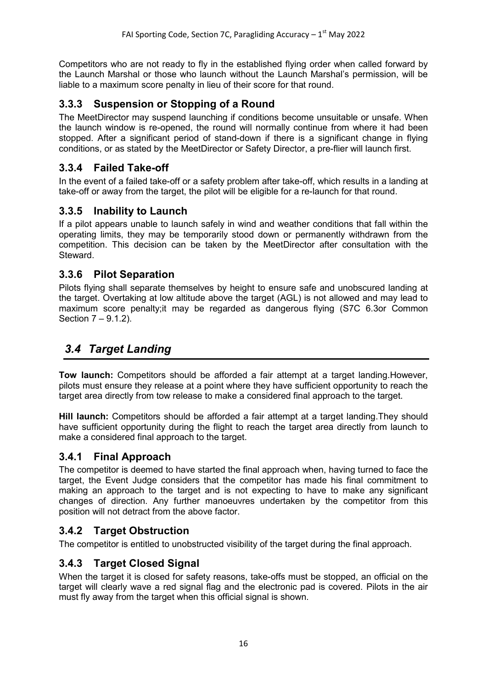Competitors who are not ready to fly in the established flying order when called forward by the Launch Marshal or those who launch without the Launch Marshal's permission, will be liable to a maximum score penalty in lieu of their score for that round.

## <span id="page-15-0"></span>**3.3.3 Suspension or Stopping of a Round**

The MeetDirector may suspend launching if conditions become unsuitable or unsafe. When the launch window is re-opened, the round will normally continue from where it had been stopped. After a significant period of stand-down if there is a significant change in flying conditions, or as stated by the MeetDirector or Safety Director, a pre-flier will launch first.

## <span id="page-15-1"></span>**3.3.4 Failed Take-off**

In the event of a failed take-off or a safety problem after take-off, which results in a landing at take-off or away from the target, the pilot will be eligible for a re-launch for that round.

## <span id="page-15-2"></span>**3.3.5 Inability to Launch**

If a pilot appears unable to launch safely in wind and weather conditions that fall within the operating limits, they may be temporarily stood down or permanently withdrawn from the competition. This decision can be taken by the MeetDirector after consultation with the Steward.

### <span id="page-15-3"></span>**3.3.6 Pilot Separation**

Pilots flying shall separate themselves by height to ensure safe and unobscured landing at the target. Overtaking at low altitude above the target (AGL) is not allowed and may lead to maximum score penalty;it may be regarded as dangerous flying (S7C 6.3or Common Section 7 – 9.1.2).

## <span id="page-15-4"></span>*3.4 Target Landing*

**Tow launch:** Competitors should be afforded a fair attempt at a target landing.However, pilots must ensure they release at a point where they have sufficient opportunity to reach the target area directly from tow release to make a considered final approach to the target.

**Hill launch:** Competitors should be afforded a fair attempt at a target landing.They should have sufficient opportunity during the flight to reach the target area directly from launch to make a considered final approach to the target.

#### <span id="page-15-5"></span>**3.4.1 Final Approach**

The competitor is deemed to have started the final approach when, having turned to face the target, the Event Judge considers that the competitor has made his final commitment to making an approach to the target and is not expecting to have to make any significant changes of direction. Any further manoeuvres undertaken by the competitor from this position will not detract from the above factor.

## <span id="page-15-6"></span>**3.4.2 Target Obstruction**

The competitor is entitled to unobstructed visibility of the target during the final approach.

## <span id="page-15-7"></span>**3.4.3 Target Closed Signal**

When the target it is closed for safety reasons, take-offs must be stopped, an official on the target will clearly wave a red signal flag and the electronic pad is covered. Pilots in the air must fly away from the target when this official signal is shown.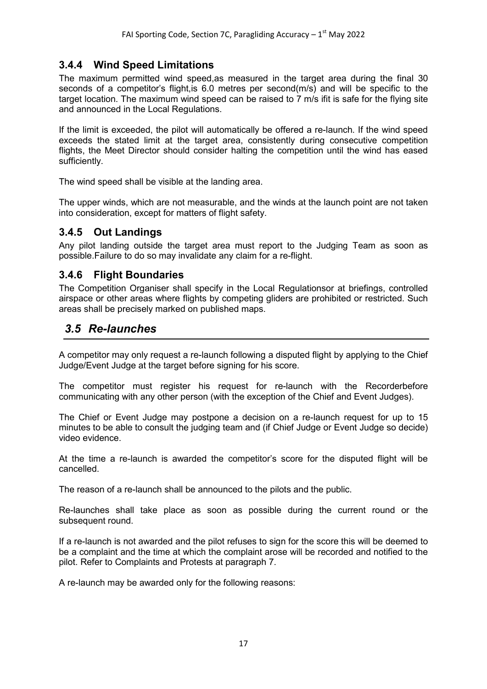## **3.4.4 Wind Speed Limitations**

<span id="page-16-0"></span>The maximum permitted wind speed,as measured in the target area during the final 30 seconds of a competitor's flight,is 6.0 metres per second(m/s) and will be specific to the target location. The maximum wind speed can be raised to 7 m/s ifit is safe for the flying site and announced in the Local Regulations.

If the limit is exceeded, the pilot will automatically be offered a re-launch. If the wind speed exceeds the stated limit at the target area, consistently during consecutive competition flights, the Meet Director should consider halting the competition until the wind has eased sufficiently.

The wind speed shall be visible at the landing area.

The upper winds, which are not measurable, and the winds at the launch point are not taken into consideration, except for matters of flight safety.

#### <span id="page-16-1"></span>**3.4.5 Out Landings**

Any pilot landing outside the target area must report to the Judging Team as soon as possible.Failure to do so may invalidate any claim for a re-flight.

#### <span id="page-16-2"></span>**3.4.6 Flight Boundaries**

The Competition Organiser shall specify in the Local Regulationsor at briefings, controlled airspace or other areas where flights by competing gliders are prohibited or restricted. Such areas shall be precisely marked on published maps.

## <span id="page-16-3"></span>*3.5 Re-launches*

A competitor may only request a re-launch following a disputed flight by applying to the Chief Judge/Event Judge at the target before signing for his score.

The competitor must register his request for re-launch with the Recorderbefore communicating with any other person (with the exception of the Chief and Event Judges).

The Chief or Event Judge may postpone a decision on a re-launch request for up to 15 minutes to be able to consult the judging team and (if Chief Judge or Event Judge so decide) video evidence.

At the time a re-launch is awarded the competitor's score for the disputed flight will be cancelled.

The reason of a re-launch shall be announced to the pilots and the public.

Re-launches shall take place as soon as possible during the current round or the subsequent round.

If a re-launch is not awarded and the pilot refuses to sign for the score this will be deemed to be a complaint and the time at which the complaint arose will be recorded and notified to the pilot. Refer to Complaints and Protests at paragraph 7.

A re-launch may be awarded only for the following reasons: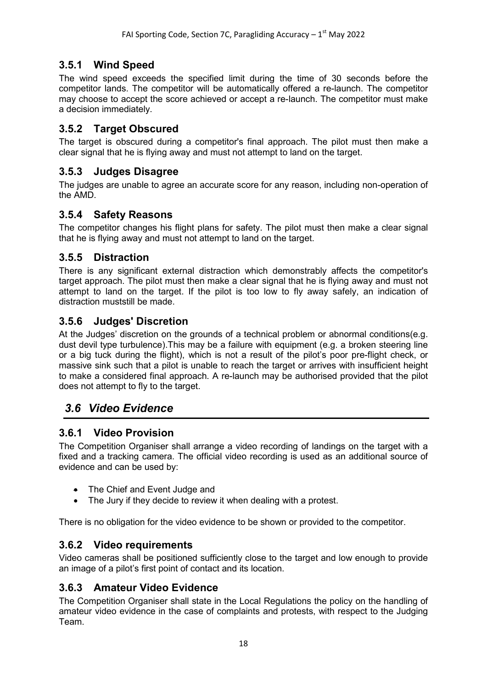## **3.5.1 Wind Speed**

<span id="page-17-0"></span>The wind speed exceeds the specified limit during the time of 30 seconds before the competitor lands. The competitor will be automatically offered a re-launch. The competitor may choose to accept the score achieved or accept a re-launch. The competitor must make a decision immediately.

## <span id="page-17-1"></span>**3.5.2 Target Obscured**

The target is obscured during a competitor's final approach. The pilot must then make a clear signal that he is flying away and must not attempt to land on the target.

#### <span id="page-17-2"></span>**3.5.3 Judges Disagree**

The judges are unable to agree an accurate score for any reason, including non-operation of the AMD.

### <span id="page-17-3"></span>**3.5.4 Safety Reasons**

The competitor changes his flight plans for safety. The pilot must then make a clear signal that he is flying away and must not attempt to land on the target.

#### <span id="page-17-4"></span>**3.5.5 Distraction**

There is any significant external distraction which demonstrably affects the competitor's target approach. The pilot must then make a clear signal that he is flying away and must not attempt to land on the target. If the pilot is too low to fly away safely, an indication of distraction muststill be made.

#### <span id="page-17-5"></span>**3.5.6 Judges' Discretion**

At the Judges' discretion on the grounds of a technical problem or abnormal conditions(e.g. dust devil type turbulence).This may be a failure with equipment (e.g. a broken steering line or a big tuck during the flight), which is not a result of the pilot's poor pre-flight check, or massive sink such that a pilot is unable to reach the target or arrives with insufficient height to make a considered final approach. A re-launch may be authorised provided that the pilot does not attempt to fly to the target.

## <span id="page-17-6"></span>*3.6 Video Evidence*

#### <span id="page-17-7"></span>**3.6.1 Video Provision**

The Competition Organiser shall arrange a video recording of landings on the target with a fixed and a tracking camera. The official video recording is used as an additional source of evidence and can be used by:

- The Chief and Event Judge and
- The Jury if they decide to review it when dealing with a protest.

There is no obligation for the video evidence to be shown or provided to the competitor.

#### <span id="page-17-8"></span>**3.6.2 Video requirements**

Video cameras shall be positioned sufficiently close to the target and low enough to provide an image of a pilot's first point of contact and its location.

#### <span id="page-17-9"></span>**3.6.3 Amateur Video Evidence**

The Competition Organiser shall state in the Local Regulations the policy on the handling of amateur video evidence in the case of complaints and protests, with respect to the Judging Team.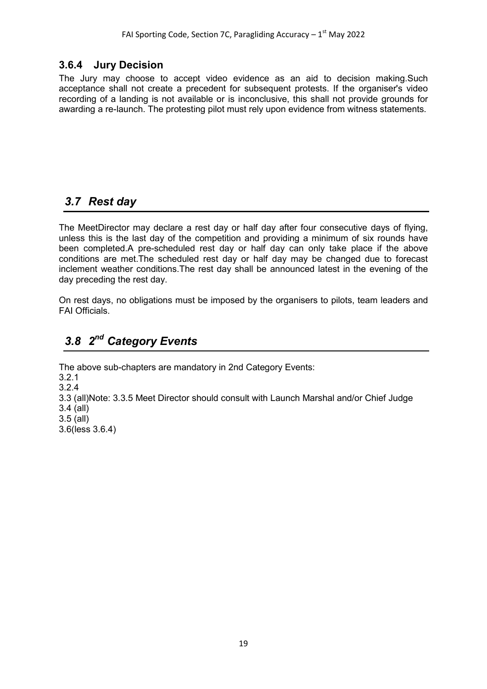### **3.6.4 Jury Decision**

<span id="page-18-0"></span>The Jury may choose to accept video evidence as an aid to decision making.Such acceptance shall not create a precedent for subsequent protests. If the organiser's video recording of a landing is not available or is inconclusive, this shall not provide grounds for awarding a re-launch. The protesting pilot must rely upon evidence from witness statements.

## <span id="page-18-1"></span>*3.7 Rest day*

The MeetDirector may declare a rest day or half day after four consecutive days of flying, unless this is the last day of the competition and providing a minimum of six rounds have been completed.A pre-scheduled rest day or half day can only take place if the above conditions are met.The scheduled rest day or half day may be changed due to forecast inclement weather conditions.The rest day shall be announced latest in the evening of the day preceding the rest day.

On rest days, no obligations must be imposed by the organisers to pilots, team leaders and FAI Officials.

## <span id="page-18-2"></span>*3.8 2nd Category Events*

The above sub-chapters are mandatory in 2nd Category Events: 3.2.1 3.2.4 3.3 (all)Note: 3.3.5 Meet Director should consult with Launch Marshal and/or Chief Judge 3.4 (all) 3.5 (all) 3.6(less 3.6.4)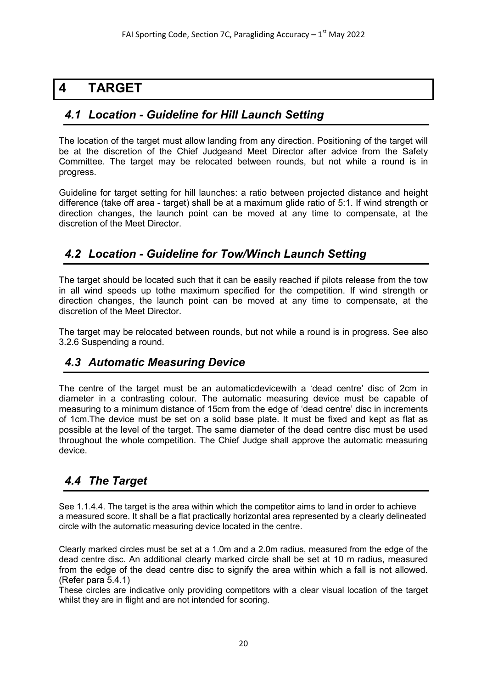## <span id="page-19-0"></span>**4 TARGET**

## <span id="page-19-1"></span>*4.1 Location - Guideline for Hill Launch Setting*

The location of the target must allow landing from any direction. Positioning of the target will be at the discretion of the Chief Judgeand Meet Director after advice from the Safety Committee. The target may be relocated between rounds, but not while a round is in progress.

Guideline for target setting for hill launches: a ratio between projected distance and height difference (take off area - target) shall be at a maximum glide ratio of 5:1. If wind strength or direction changes, the launch point can be moved at any time to compensate, at the discretion of the Meet Director.

## <span id="page-19-2"></span>*4.2 Location - Guideline for Tow/Winch Launch Setting*

The target should be located such that it can be easily reached if pilots release from the tow in all wind speeds up tothe maximum specified for the competition. If wind strength or direction changes, the launch point can be moved at any time to compensate, at the discretion of the Meet Director.

The target may be relocated between rounds, but not while a round is in progress. See also 3.2.6 Suspending a round.

## <span id="page-19-3"></span>*4.3 Automatic Measuring Device*

The centre of the target must be an automaticdevicewith a 'dead centre' disc of 2cm in diameter in a contrasting colour. The automatic measuring device must be capable of measuring to a minimum distance of 15cm from the edge of 'dead centre' disc in increments of 1cm.The device must be set on a solid base plate. It must be fixed and kept as flat as possible at the level of the target. The same diameter of the dead centre disc must be used throughout the whole competition. The Chief Judge shall approve the automatic measuring device.

## <span id="page-19-4"></span>*4.4 The Target*

See 1.1.4.4. The target is the area within which the competitor aims to land in order to achieve a measured score. It shall be a flat practically horizontal area represented by a clearly delineated circle with the automatic measuring device located in the centre.

Clearly marked circles must be set at a 1.0m and a 2.0m radius, measured from the edge of the dead centre disc. An additional clearly marked circle shall be set at 10 m radius, measured from the edge of the dead centre disc to signify the area within which a fall is not allowed. (Refer para 5.4.1)

These circles are indicative only providing competitors with a clear visual location of the target whilst they are in flight and are not intended for scoring.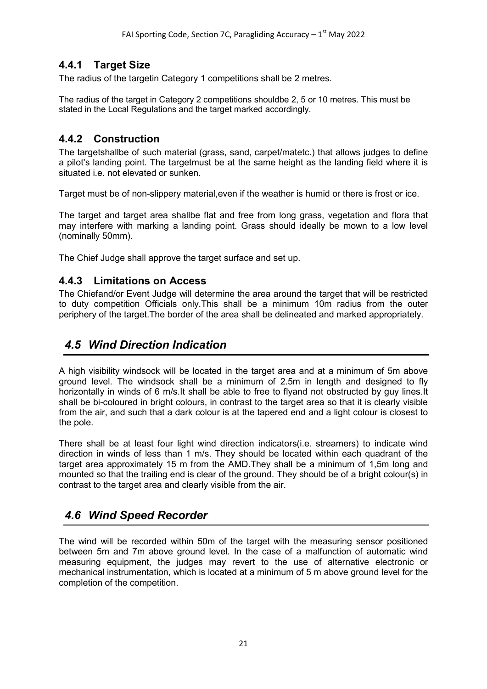## **4.4.1 Target Size**

<span id="page-20-0"></span>The radius of the targetin Category 1 competitions shall be 2 metres.

The radius of the target in Category 2 competitions shouldbe 2, 5 or 10 metres. This must be stated in the Local Regulations and the target marked accordingly.

### <span id="page-20-1"></span>**4.4.2 Construction**

The targetshallbe of such material (grass, sand, carpet/matetc.) that allows judges to define a pilot's landing point. The targetmust be at the same height as the landing field where it is situated i.e. not elevated or sunken.

Target must be of non-slippery material,even if the weather is humid or there is frost or ice.

The target and target area shallbe flat and free from long grass, vegetation and flora that may interfere with marking a landing point. Grass should ideally be mown to a low level (nominally 50mm).

The Chief Judge shall approve the target surface and set up.

#### <span id="page-20-2"></span>**4.4.3 Limitations on Access**

The Chiefand/or Event Judge will determine the area around the target that will be restricted to duty competition Officials only.This shall be a minimum 10m radius from the outer periphery of the target.The border of the area shall be delineated and marked appropriately.

## <span id="page-20-3"></span>*4.5 Wind Direction Indication*

A high visibility windsock will be located in the target area and at a minimum of 5m above ground level. The windsock shall be a minimum of 2.5m in length and designed to fly horizontally in winds of 6 m/s.It shall be able to free to flyand not obstructed by guy lines.It shall be bi-coloured in bright colours, in contrast to the target area so that it is clearly visible from the air, and such that a dark colour is at the tapered end and a light colour is closest to the pole.

There shall be at least four light wind direction indicators(i.e. streamers) to indicate wind direction in winds of less than 1 m/s. They should be located within each quadrant of the target area approximately 15 m from the AMD.They shall be a minimum of 1,5m long and mounted so that the trailing end is clear of the ground. They should be of a bright colour(s) in contrast to the target area and clearly visible from the air.

## <span id="page-20-4"></span>*4.6 Wind Speed Recorder*

The wind will be recorded within 50m of the target with the measuring sensor positioned between 5m and 7m above ground level. In the case of a malfunction of automatic wind measuring equipment, the judges may revert to the use of alternative electronic or mechanical instrumentation, which is located at a minimum of 5 m above ground level for the completion of the competition.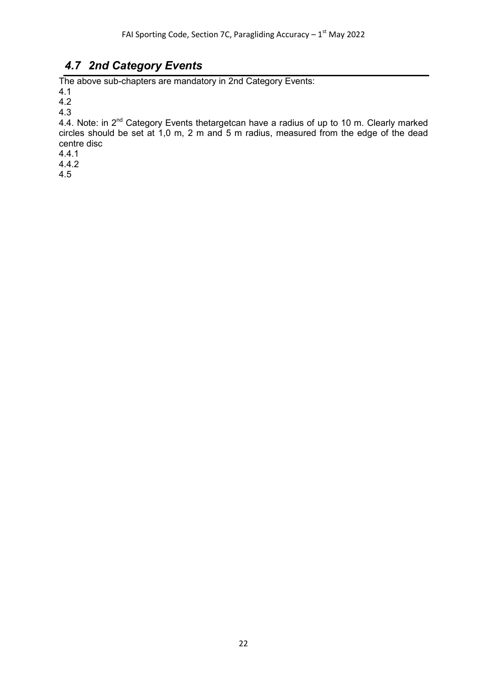## *4.7 2nd Category Events*

<span id="page-21-0"></span>The above sub-chapters are mandatory in 2nd Category Events:

4.1

4.2 4.3

4.4. Note: in 2<sup>nd</sup> Category Events thetargetcan have a radius of up to 10 m. Clearly marked circles should be set at 1,0 m, 2 m and 5 m radius, measured from the edge of the dead centre disc

4.4.1

4.4.2

4.5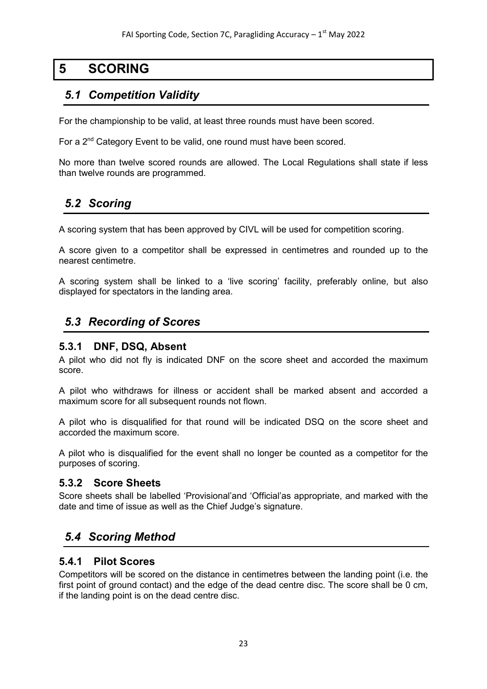## **5 SCORING**

## <span id="page-22-1"></span><span id="page-22-0"></span>*5.1 Competition Validity*

For the championship to be valid, at least three rounds must have been scored.

For a 2<sup>nd</sup> Category Event to be valid, one round must have been scored.

No more than twelve scored rounds are allowed. The Local Regulations shall state if less than twelve rounds are programmed.

## <span id="page-22-2"></span>*5.2 Scoring*

A scoring system that has been approved by CIVL will be used for competition scoring.

A score given to a competitor shall be expressed in centimetres and rounded up to the nearest centimetre.

A scoring system shall be linked to a 'live scoring' facility, preferably online, but also displayed for spectators in the landing area.

## <span id="page-22-3"></span>*5.3 Recording of Scores*

#### <span id="page-22-4"></span>**5.3.1 DNF, DSQ, Absent**

A pilot who did not fly is indicated DNF on the score sheet and accorded the maximum score.

A pilot who withdraws for illness or accident shall be marked absent and accorded a maximum score for all subsequent rounds not flown.

A pilot who is disqualified for that round will be indicated DSQ on the score sheet and accorded the maximum score.

A pilot who is disqualified for the event shall no longer be counted as a competitor for the purposes of scoring.

#### <span id="page-22-5"></span>**5.3.2 Score Sheets**

Score sheets shall be labelled 'Provisional'and 'Official'as appropriate, and marked with the date and time of issue as well as the Chief Judge's signature.

## <span id="page-22-6"></span>*5.4 Scoring Method*

#### <span id="page-22-7"></span>**5.4.1 Pilot Scores**

Competitors will be scored on the distance in centimetres between the landing point (i.e. the first point of ground contact) and the edge of the dead centre disc. The score shall be 0 cm, if the landing point is on the dead centre disc.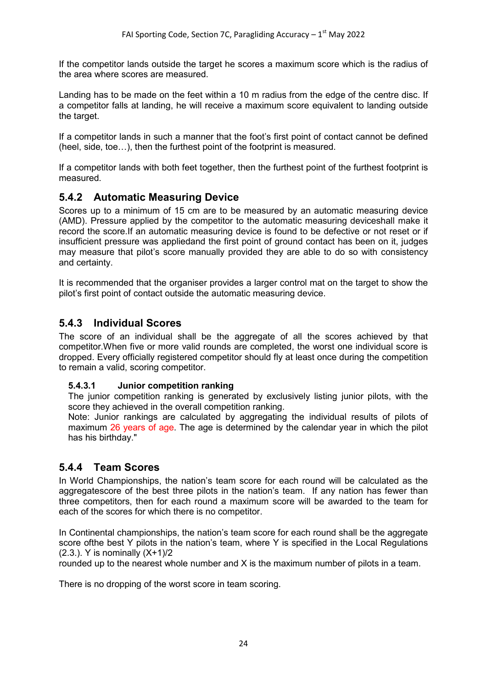If the competitor lands outside the target he scores a maximum score which is the radius of the area where scores are measured.

Landing has to be made on the feet within a 10 m radius from the edge of the centre disc. If a competitor falls at landing, he will receive a maximum score equivalent to landing outside the target.

If a competitor lands in such a manner that the foot's first point of contact cannot be defined (heel, side, toe…), then the furthest point of the footprint is measured.

If a competitor lands with both feet together, then the furthest point of the furthest footprint is measured.

### <span id="page-23-0"></span>**5.4.2 Automatic Measuring Device**

Scores up to a minimum of 15 cm are to be measured by an automatic measuring device (AMD). Pressure applied by the competitor to the automatic measuring deviceshall make it record the score.If an automatic measuring device is found to be defective or not reset or if insufficient pressure was appliedand the first point of ground contact has been on it, judges may measure that pilot's score manually provided they are able to do so with consistency and certainty.

It is recommended that the organiser provides a larger control mat on the target to show the pilot's first point of contact outside the automatic measuring device.

### <span id="page-23-1"></span>**5.4.3 Individual Scores**

The score of an individual shall be the aggregate of all the scores achieved by that competitor.When five or more valid rounds are completed, the worst one individual score is dropped. Every officially registered competitor should fly at least once during the competition to remain a valid, scoring competitor.

#### <span id="page-23-2"></span>**5.4.3.1 Junior competition ranking**

The junior competition ranking is generated by exclusively listing junior pilots, with the score they achieved in the overall competition ranking.

Note: Junior rankings are calculated by aggregating the individual results of pilots of maximum 26 years of age. The age is determined by the calendar year in which the pilot has his birthday."

#### <span id="page-23-3"></span>**5.4.4 Team Scores**

In World Championships, the nation's team score for each round will be calculated as the aggregatescore of the best three pilots in the nation's team. If any nation has fewer than three competitors, then for each round a maximum score will be awarded to the team for each of the scores for which there is no competitor.

In Continental championships, the nation's team score for each round shall be the aggregate score of the best Y pilots in the nation's team, where Y is specified in the Local Regulations (2.3.). Y is nominally (X+1)/2

rounded up to the nearest whole number and X is the maximum number of pilots in a team.

There is no dropping of the worst score in team scoring.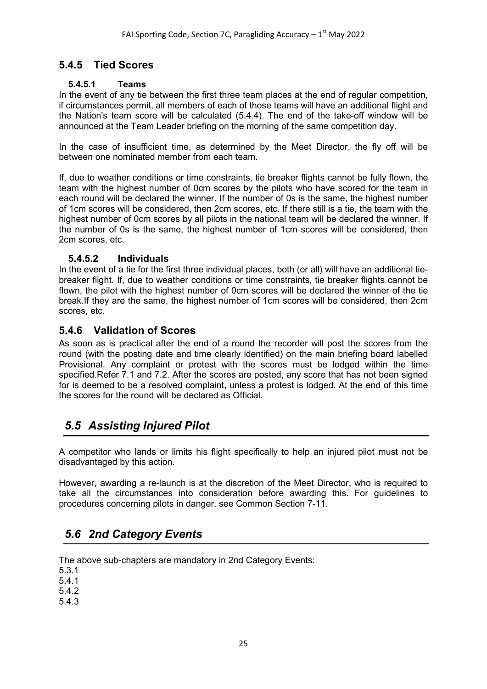## <span id="page-24-0"></span>**5.4.5 Tied Scores**

#### <span id="page-24-1"></span>**5.4.5.1 Teams**

In the event of any tie between the first three team places at the end of regular competition, if circumstances permit, all members of each of those teams will have an additional flight and the Nation's team score will be calculated (5.4.4). The end of the take-off window will be announced at the Team Leader briefing on the morning of the same competition day.

In the case of insufficient time, as determined by the Meet Director, the fly off will be between one nominated member from each team.

If, due to weather conditions or time constraints, tie breaker flights cannot be fully flown, the team with the highest number of 0cm scores by the pilots who have scored for the team in each round will be declared the winner. If the number of 0s is the same, the highest number of 1cm scores will be considered, then 2cm scores, etc. If there still is a tie, the team with the highest number of 0cm scores by all pilots in the national team will be declared the winner. If the number of 0s is the same, the highest number of 1cm scores will be considered, then 2cm scores, etc.

#### <span id="page-24-2"></span>**5.4.5.2 Individuals**

In the event of a tie for the first three individual places, both (or all) will have an additional tiebreaker flight. If, due to weather conditions or time constraints, tie breaker flights cannot be flown, the pilot with the highest number of 0cm scores will be declared the winner of the tie break.If they are the same, the highest number of 1cm scores will be considered, then 2cm scores, etc.

#### <span id="page-24-3"></span>**5.4.6 Validation of Scores**

As soon as is practical after the end of a round the recorder will post the scores from the round (with the posting date and time clearly identified) on the main briefing board labelled Provisional. Any complaint or protest with the scores must be lodged within the time specified.Refer 7.1 and 7.2. After the scores are posted, any score that has not been signed for is deemed to be a resolved complaint, unless a protest is lodged. At the end of this time the scores for the round will be declared as Official.

## <span id="page-24-4"></span>*5.5 Assisting Injured Pilot*

A competitor who lands or limits his flight specifically to help an injured pilot must not be disadvantaged by this action.

However, awarding a re-launch is at the discretion of the Meet Director, who is required to take all the circumstances into consideration before awarding this. For guidelines to procedures concerning pilots in danger, see Common Section 7-11.

## <span id="page-24-5"></span>*5.6 2nd Category Events*

The above sub-chapters are mandatory in 2nd Category Events:

5.3.1

5.4.1

5.4.2

5.4.3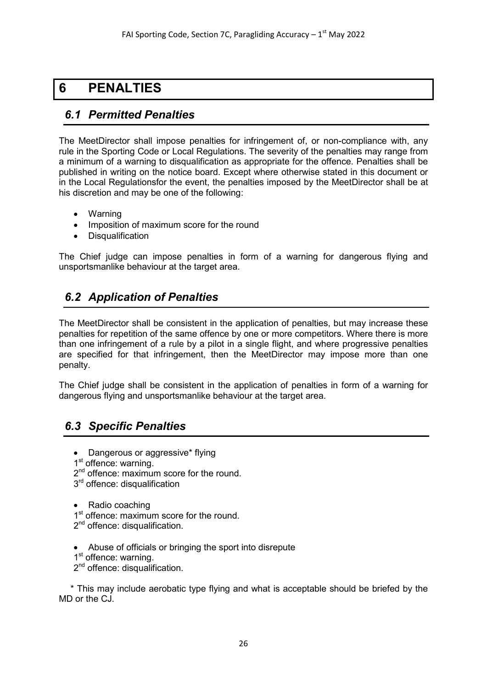## <span id="page-25-0"></span>**6 PENALTIES**

## <span id="page-25-1"></span>*6.1 Permitted Penalties*

The MeetDirector shall impose penalties for infringement of, or non-compliance with, any rule in the Sporting Code or Local Regulations. The severity of the penalties may range from a minimum of a warning to disqualification as appropriate for the offence. Penalties shall be published in writing on the notice board. Except where otherwise stated in this document or in the Local Regulationsfor the event, the penalties imposed by the MeetDirector shall be at his discretion and may be one of the following:

- Warning
- Imposition of maximum score for the round
- Disqualification

The Chief judge can impose penalties in form of a warning for dangerous flying and unsportsmanlike behaviour at the target area.

## <span id="page-25-2"></span>*6.2 Application of Penalties*

The MeetDirector shall be consistent in the application of penalties, but may increase these penalties for repetition of the same offence by one or more competitors. Where there is more than one infringement of a rule by a pilot in a single flight, and where progressive penalties are specified for that infringement, then the MeetDirector may impose more than one penalty.

The Chief judge shall be consistent in the application of penalties in form of a warning for dangerous flying and unsportsmanlike behaviour at the target area.

## <span id="page-25-3"></span>*6.3 Specific Penalties*

- Dangerous or aggressive\* flying
- 1<sup>st</sup> offence: warning.
- 2<sup>nd</sup> offence: maximum score for the round.
- 3<sup>rd</sup> offence: disqualification
- Radio coaching
- 1<sup>st</sup> offence: maximum score for the round.
- 2<sup>nd</sup> offence: disqualification.
- Abuse of officials or bringing the sport into disrepute
- 1<sup>st</sup> offence: warning.
- 2<sup>nd</sup> offence: disqualification.

\* This may include aerobatic type flying and what is acceptable should be briefed by the MD or the CJ.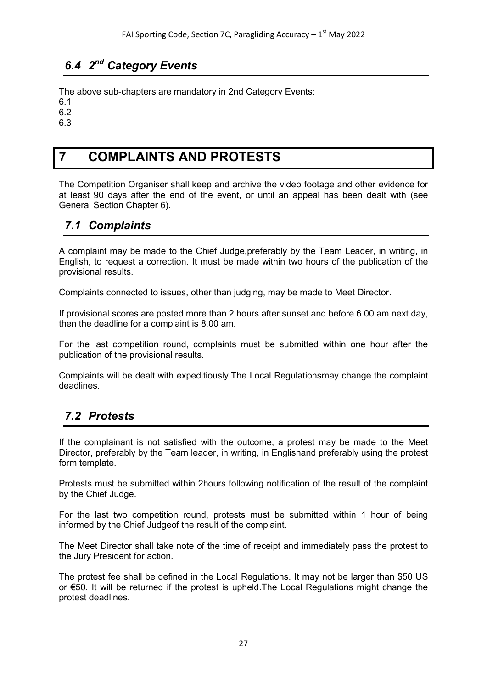## <span id="page-26-0"></span>*6.4 2nd Category Events*

The above sub-chapters are mandatory in 2nd Category Events:

6.1

6.2

<span id="page-26-1"></span>6.3

## **7 COMPLAINTS AND PROTESTS**

The Competition Organiser shall keep and archive the video footage and other evidence for at least 90 days after the end of the event, or until an appeal has been dealt with (see General Section Chapter 6).

## <span id="page-26-2"></span>*7.1 Complaints*

A complaint may be made to the Chief Judge,preferably by the Team Leader, in writing, in English, to request a correction. It must be made within two hours of the publication of the provisional results.

Complaints connected to issues, other than judging, may be made to Meet Director.

If provisional scores are posted more than 2 hours after sunset and before 6.00 am next day, then the deadline for a complaint is 8.00 am.

For the last competition round, complaints must be submitted within one hour after the publication of the provisional results.

Complaints will be dealt with expeditiously.The Local Regulationsmay change the complaint deadlines.

## <span id="page-26-3"></span>*7.2 Protests*

If the complainant is not satisfied with the outcome, a protest may be made to the Meet Director, preferably by the Team leader, in writing, in Englishand preferably using the protest form template.

Protests must be submitted within 2hours following notification of the result of the complaint by the Chief Judge.

For the last two competition round, protests must be submitted within 1 hour of being informed by the Chief Judgeof the result of the complaint.

The Meet Director shall take note of the time of receipt and immediately pass the protest to the Jury President for action.

The protest fee shall be defined in the Local Regulations. It may not be larger than \$50 US or €50. It will be returned if the protest is upheld.The Local Regulations might change the protest deadlines.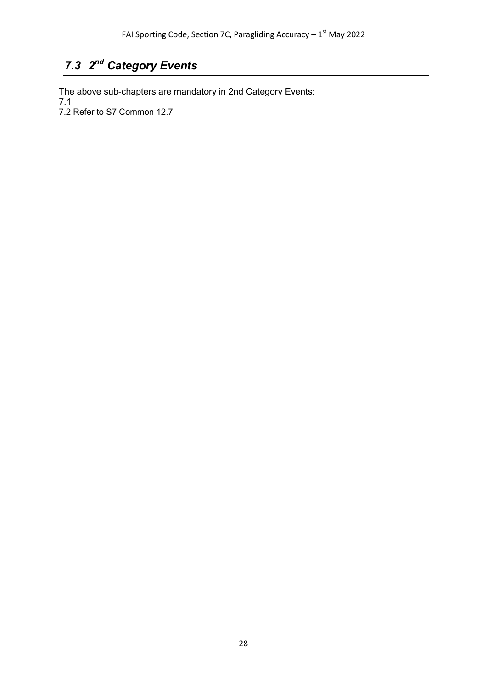## <span id="page-27-0"></span>*7.3 2nd Category Events*

The above sub-chapters are mandatory in 2nd Category Events: 7.1 7.2 Refer to S7 Common 12.7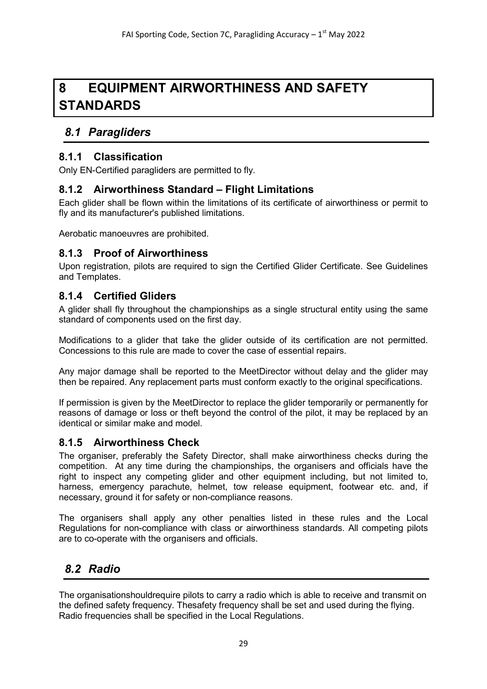## <span id="page-28-0"></span>**8 EQUIPMENT AIRWORTHINESS AND SAFETY STANDARDS**

## <span id="page-28-1"></span>*8.1 Paragliders*

#### <span id="page-28-2"></span>**8.1.1 Classification**

Only EN-Certified paragliders are permitted to fly.

#### <span id="page-28-3"></span>**8.1.2 Airworthiness Standard – Flight Limitations**

Each glider shall be flown within the limitations of its certificate of airworthiness or permit to fly and its manufacturer's published limitations.

Aerobatic manoeuvres are prohibited.

#### <span id="page-28-4"></span>**8.1.3 Proof of Airworthiness**

Upon registration, pilots are required to sign the Certified Glider Certificate. See Guidelines and Templates.

#### <span id="page-28-5"></span>**8.1.4 Certified Gliders**

A glider shall fly throughout the championships as a single structural entity using the same standard of components used on the first day.

Modifications to a glider that take the glider outside of its certification are not permitted. Concessions to this rule are made to cover the case of essential repairs.

Any major damage shall be reported to the MeetDirector without delay and the glider may then be repaired. Any replacement parts must conform exactly to the original specifications.

If permission is given by the MeetDirector to replace the glider temporarily or permanently for reasons of damage or loss or theft beyond the control of the pilot, it may be replaced by an identical or similar make and model.

#### <span id="page-28-6"></span>**8.1.5 Airworthiness Check**

The organiser, preferably the Safety Director, shall make airworthiness checks during the competition. At any time during the championships, the organisers and officials have the right to inspect any competing glider and other equipment including, but not limited to, harness, emergency parachute, helmet, tow release equipment, footwear etc. and, if necessary, ground it for safety or non-compliance reasons.

The organisers shall apply any other penalties listed in these rules and the Local Regulations for non-compliance with class or airworthiness standards. All competing pilots are to co-operate with the organisers and officials.

## <span id="page-28-7"></span>*8.2 Radio*

The organisationshouldrequire pilots to carry a radio which is able to receive and transmit on the defined safety frequency. Thesafety frequency shall be set and used during the flying. Radio frequencies shall be specified in the Local Regulations.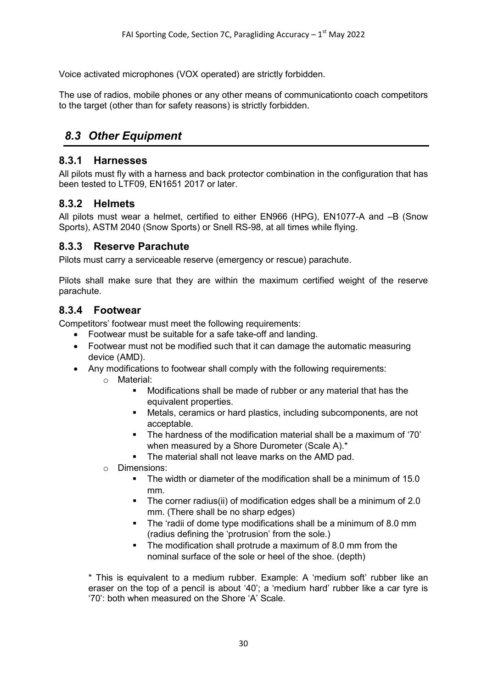Voice activated microphones (VOX operated) are strictly forbidden.

The use of radios, mobile phones or any other means of communicationto coach competitors to the target (other than for safety reasons) is strictly forbidden.

## <span id="page-29-0"></span>*8.3 Other Equipment*

#### <span id="page-29-1"></span>**8.3.1 Harnesses**

All pilots must fly with a harness and back protector combination in the configuration that has been tested to LTF09, EN1651 2017 or later.

#### <span id="page-29-2"></span>**8.3.2 Helmets**

All pilots must wear a helmet, certified to either EN966 (HPG), EN1077-A and –B (Snow Sports), ASTM 2040 (Snow Sports) or Snell RS-98, at all times while flying.

#### <span id="page-29-3"></span>**8.3.3 Reserve Parachute**

Pilots must carry a serviceable reserve (emergency or rescue) parachute.

Pilots shall make sure that they are within the maximum certified weight of the reserve parachute.

#### <span id="page-29-4"></span>**8.3.4 Footwear**

Competitors' footwear must meet the following requirements:

- Footwear must be suitable for a safe take-off and landing.
- Footwear must not be modified such that it can damage the automatic measuring device (AMD).
- Any modifications to footwear shall comply with the following requirements:
	- o Material:
		- Modifications shall be made of rubber or any material that has the equivalent properties.
		- Metals, ceramics or hard plastics, including subcomponents, are not acceptable.
		- The hardness of the modification material shall be a maximum of '70' when measured by a Shore Durometer (Scale A).\*
		- The material shall not leave marks on the AMD pad.
	- o Dimensions:
		- The width or diameter of the modification shall be a minimum of 15.0 mm.
		- The corner radius(ii) of modification edges shall be a minimum of 2.0 mm. (There shall be no sharp edges)
		- The 'radii of dome type modifications shall be a minimum of 8.0 mm (radius defining the 'protrusion' from the sole.)
		- The modification shall protrude a maximum of 8.0 mm from the nominal surface of the sole or heel of the shoe. (depth)

\* This is equivalent to a medium rubber. Example: A 'medium soft' rubber like an eraser on the top of a pencil is about '40'; a 'medium hard' rubber like a car tyre is '70': both when measured on the Shore 'A' Scale.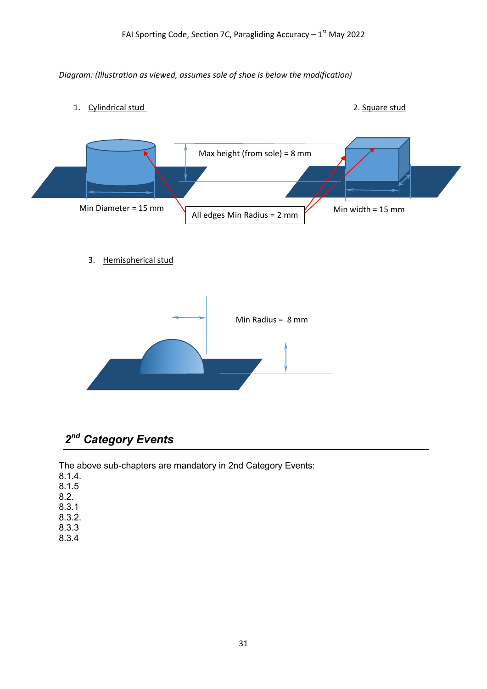#### *Diagram: (Illustration as viewed, assumes sole of shoe is below the modification)*

- 1. Cylindrical stud 2. Square stud Max height (from sole) = 8 mm Min Diameter = 15 mm  $\bigcup_{\text{All edges Min Radius = 2 mm}}$  Min width = 15 mm
	- 3. Hemispherical stud



## <span id="page-30-0"></span>*2nd Category Events*

The above sub-chapters are mandatory in 2nd Category Events:

- 8.1.4. 8.1.5 8.2.
- 8.3.1
- 8.3.2.
- 8.3.3
- 8.3.4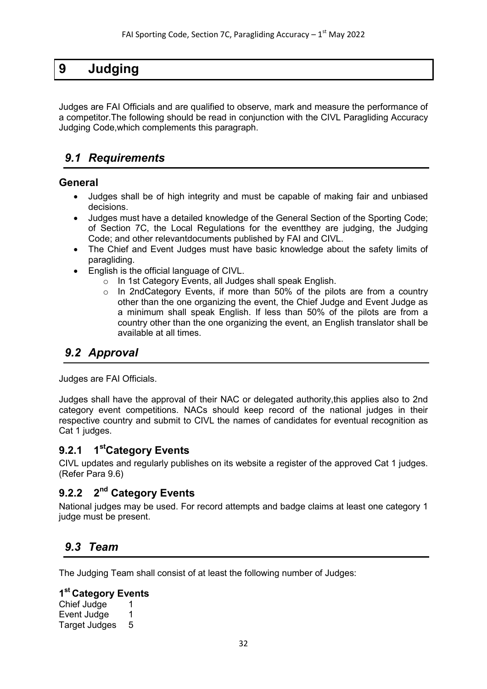## <span id="page-31-0"></span>**9 Judging**

<span id="page-31-1"></span>Judges are FAI Officials and are qualified to observe, mark and measure the performance of a competitor.The following should be read in conjunction with the CIVL Paragliding Accuracy Judging Code,which complements this paragraph.

## *9.1 Requirements*

#### **General**

- Judges shall be of high integrity and must be capable of making fair and unbiased decisions.
- Judges must have a detailed knowledge of the General Section of the Sporting Code; of Section 7C, the Local Regulations for the eventthey are judging, the Judging Code; and other relevantdocuments published by FAI and CIVL.
- The Chief and Event Judges must have basic knowledge about the safety limits of paragliding.
- <span id="page-31-2"></span>• English is the official language of CIVL.
	- o In 1st Category Events, all Judges shall speak English.
	- In 2ndCategory Events, if more than 50% of the pilots are from a country other than the one organizing the event, the Chief Judge and Event Judge as a minimum shall speak English. If less than 50% of the pilots are from a country other than the one organizing the event, an English translator shall be available at all times.

## <span id="page-31-3"></span>*9.2 Approval*

Judges are FAI Officials.

Judges shall have the approval of their NAC or delegated authority,this applies also to 2nd category event competitions. NACs should keep record of the national judges in their respective country and submit to CIVL the names of candidates for eventual recognition as Cat 1 judges.

#### **9.2.1 1stCategory Events**

CIVL updates and regularly publishes on its website a register of the approved Cat 1 judges. (Refer Para 9.6)

## <span id="page-31-4"></span>**9.2.2 2nd Category Events**

National judges may be used. For record attempts and badge claims at least one category 1 judge must be present.

## <span id="page-31-5"></span>*9.3 Team*

The Judging Team shall consist of at least the following number of Judges:

#### **1st Category Events**

Chief Judge 1 Event Judge 1 Target Judges 5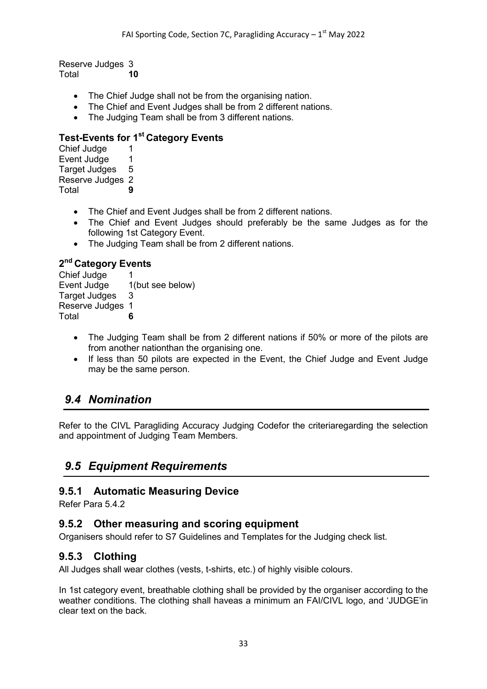Reserve Judges 3<br>Total 10 **Total** 

- The Chief Judge shall not be from the organising nation.
- The Chief and Event Judges shall be from 2 different nations.
- The Judging Team shall be from 3 different nations.

#### **Test-Events for 1st Category Events**

Chief Judge 1<br>Fyent Judge 1 Event Judge 1<br>Target Judges 5 Target Judges Reserve Judges 2 Total **9**

- The Chief and Event Judges shall be from 2 different nations.
- The Chief and Event Judges should preferably be the same Judges as for the following 1st Category Event.
- The Judging Team shall be from 2 different nations.

# 2<sup>nd</sup> Category Events<br>Chief Judge 1

```
Chief Judge
Event Judge 1(but see below)
Target Judges 3
Reserve Judges 1
Total 6
```
- The Judging Team shall be from 2 different nations if 50% or more of the pilots are from another nationthan the organising one.
- If less than 50 pilots are expected in the Event, the Chief Judge and Event Judge may be the same person.

## <span id="page-32-0"></span>*9.4 Nomination*

Refer to the CIVL Paragliding Accuracy Judging Codefor the criteriaregarding the selection and appointment of Judging Team Members.

## <span id="page-32-1"></span>*9.5 Equipment Requirements*

#### <span id="page-32-2"></span>**9.5.1 Automatic Measuring Device**

Refer Para 5.4.2

#### <span id="page-32-3"></span>**9.5.2 Other measuring and scoring equipment**

Organisers should refer to S7 Guidelines and Templates for the Judging check list.

#### <span id="page-32-4"></span>**9.5.3 Clothing**

All Judges shall wear clothes (vests, t-shirts, etc.) of highly visible colours.

In 1st category event, breathable clothing shall be provided by the organiser according to the weather conditions. The clothing shall haveas a minimum an FAI/CIVL logo, and 'JUDGE'in clear text on the back.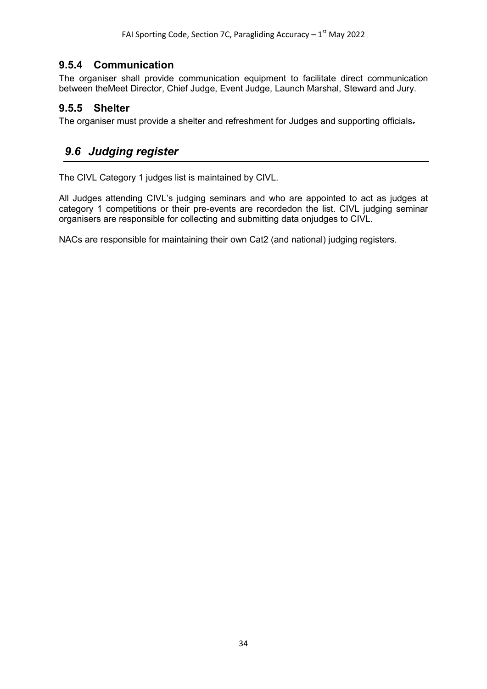### **9.5.4 Communication**

<span id="page-33-0"></span>The organiser shall provide communication equipment to facilitate direct communication between theMeet Director, Chief Judge, Event Judge, Launch Marshal, Steward and Jury.

#### <span id="page-33-1"></span>**9.5.5 Shelter**

The organiser must provide a shelter and refreshment for Judges and supporting officials.

## <span id="page-33-2"></span>*9.6 Judging register*

The CIVL Category 1 judges list is maintained by CIVL.

All Judges attending CIVL's judging seminars and who are appointed to act as judges at category 1 competitions or their pre-events are recordedon the list. CIVL judging seminar organisers are responsible for collecting and submitting data onjudges to CIVL.

NACs are responsible for maintaining their own Cat2 (and national) judging registers.